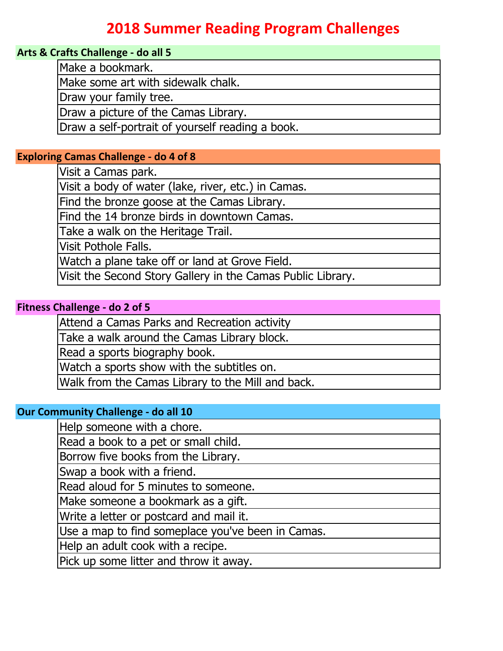# **2018 Summer Reading Program Challenges**

#### **Arts & Crafts Challenge - do all 5**

Make a bookmark.

Make some art with sidewalk chalk.

Draw your family tree.

Draw a picture of the Camas Library.

Draw a self-portrait of yourself reading a book.

#### **Exploring Camas Challenge - do 4 of 8**

Visit a Camas park.

Visit a body of water (lake, river, etc.) in Camas.

Find the bronze goose at the Camas Library.

Find the 14 bronze birds in downtown Camas.

Take a walk on the Heritage Trail.

Visit Pothole Falls.

Watch a plane take off or land at Grove Field.

Visit the Second Story Gallery in the Camas Public Library.

## **Fitness Challenge - do 2 of 5**

Attend a Camas Parks and Recreation activity

Take a walk around the Camas Library block.

Read a sports biography book.

Watch a sports show with the subtitles on.

Walk from the Camas Library to the Mill and back.

## **Our Community Challenge - do all 10**

Help someone with a chore.

Read a book to a pet or small child.

Borrow five books from the Library.

Swap a book with a friend.

Read aloud for 5 minutes to someone.

Make someone a bookmark as a gift.

Write a letter or postcard and mail it.

Use a map to find someplace you've been in Camas.

Help an adult cook with a recipe.

Pick up some litter and throw it away.